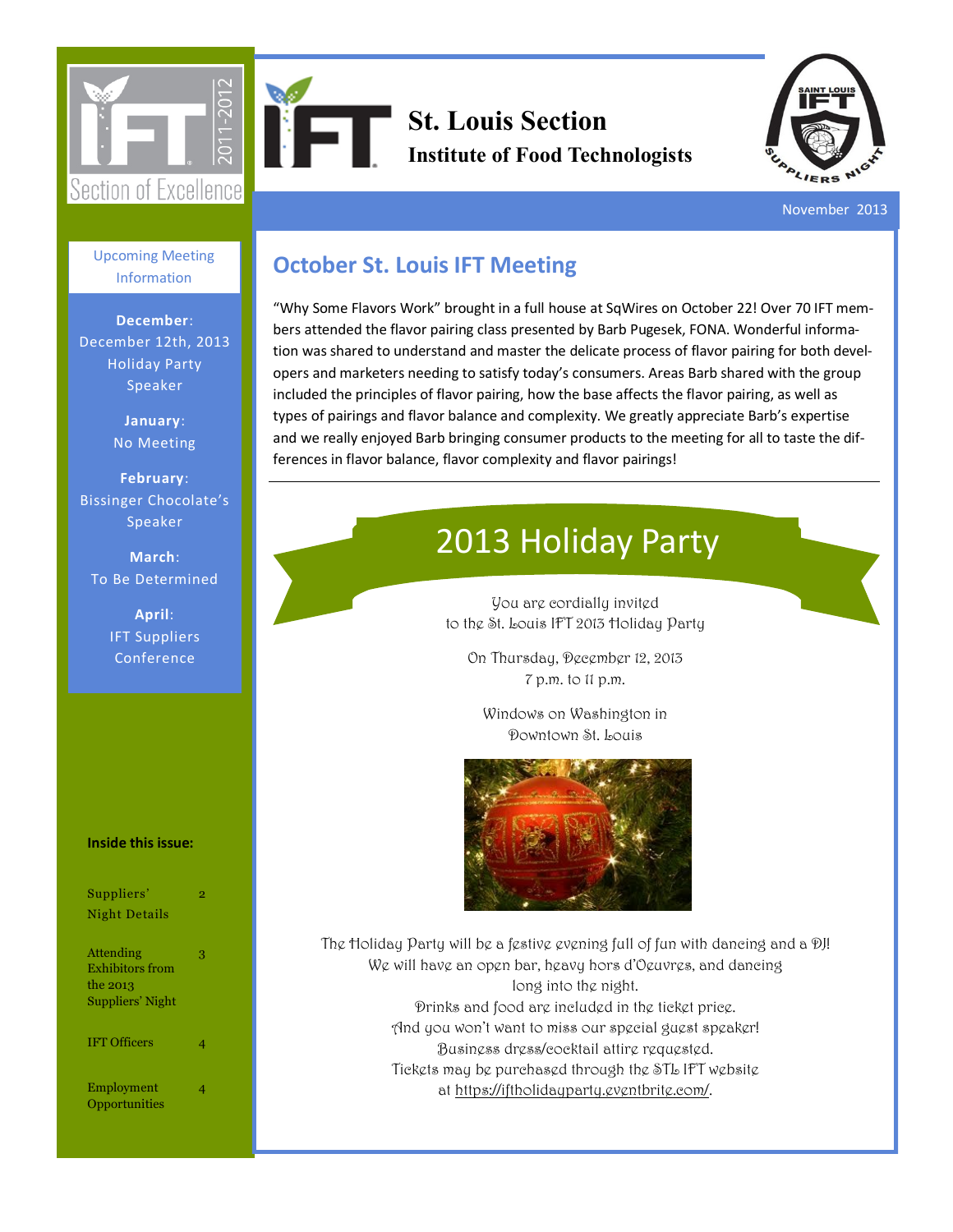

St. Louis Section **Institute of Food Technologists**



November 2013

#### Upcoming Meeting Information

**December**: December 12th, 2013 Holiday Party Speaker

> **January**: No Meeting

**February**: Bissinger Chocolate's Speaker

**March**: To Be Determined

> **April**: IFT Suppliers Conference

#### **Inside this issue:**

| Suppliers'<br>Night Details                                         |   |
|---------------------------------------------------------------------|---|
| <b>Attending</b><br>Exhibitors from<br>the 2013<br>Suppliers' Night | З |
| <b>IFT Officers</b>                                                 |   |
| Employment<br>Opportunities                                         |   |

### **October St. Louis IFT Meeting**

"Why Some Flavors Work" brought in a full house at SqWires on October 22! Over 70 IFT members attended the flavor pairing class presented by Barb Pugesek, FONA. Wonderful information was shared to understand and master the delicate process of flavor pairing for both developers and marketers needing to satisfy today's consumers. Areas Barb shared with the group included the principles of flavor pairing, how the base affects the flavor pairing, as well as types of pairings and flavor balance and complexity. We greatly appreciate Barb's expertise and we really enjoyed Barb bringing consumer products to the meeting for all to taste the differences in flavor balance, flavor complexity and flavor pairings!

# 2013 Holiday Party

You are cordially invited to the St. Louis IFT 2013 Holiday Party

On Thursday, December 12, 2013 7 p.m. to 11 p.m.

Windows on Washington in Downtown St. Louis



The Holiday Party will be a festive evening full of fun with dancing and a DJ! We will have an open bar, heavy hors d'Oeuvres, and dancing long into the night. Drinks and food are included in the ticket price. And you won't want to miss our special guest speaker! Business dress/cocktail attire requested. Tickets may be purchased through the STL IFT website at [https://iftholidayparty.eventbrite.com/.](https://iftholidayparty.eventbrite.com/)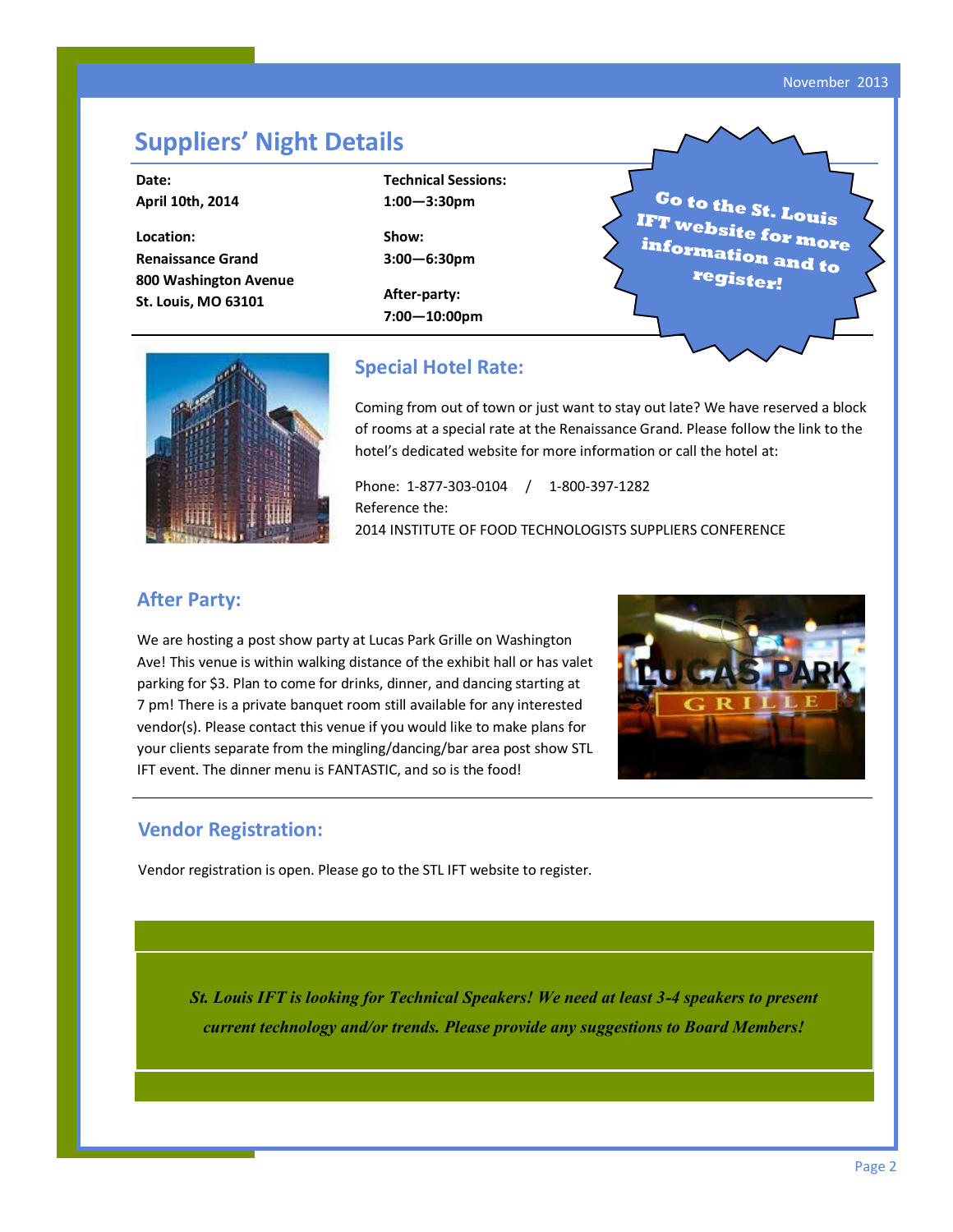Page 2

### **Suppliers' Night Details**

**Date: April 10th, 2014**

**Location: Renaissance Grand 800 Washington Avenue St. Louis, MO 63101**

**Technical Sessions: 1:00—3:30pm**

**Show: 3:00—6:30pm**

**After-party: 7:00—10:00pm**

**Go to the St. Louis IFT website for more information and to register!**



#### **Special Hotel Rate:**

Coming from out of town or just want to stay out late? We have reserved a block of rooms at a special rate at the Renaissance Grand. Please follow the link to the hotel's dedicated website for more information or call the hotel at:

Phone: 1-877-303-0104 / 1-800-397-1282 Reference the: 2014 INSTITUTE OF FOOD TECHNOLOGISTS SUPPLIERS CONFERENCE

#### **After Party:**

We are hosting a post show party at Lucas Park Grille on Washington Ave! This venue is within walking distance of the exhibit hall or has valet parking for \$3. Plan to come for drinks, dinner, and dancing starting at 7 pm! There is a private banquet room still available for any interested vendor(s). Please contact this venue if you would like to make plans for your clients separate from the mingling/dancing/bar area post show STL IFT event. The dinner menu is FANTASTIC, and so is the food!

#### **Vendor Registration:**

Vendor registration is open. Please go to the STL IFT website to register.

*St. Louis IFT is looking for Technical Speakers! We need at least 3-4 speakers to present current technology and/or trends. Please provide any suggestions to Board Members!*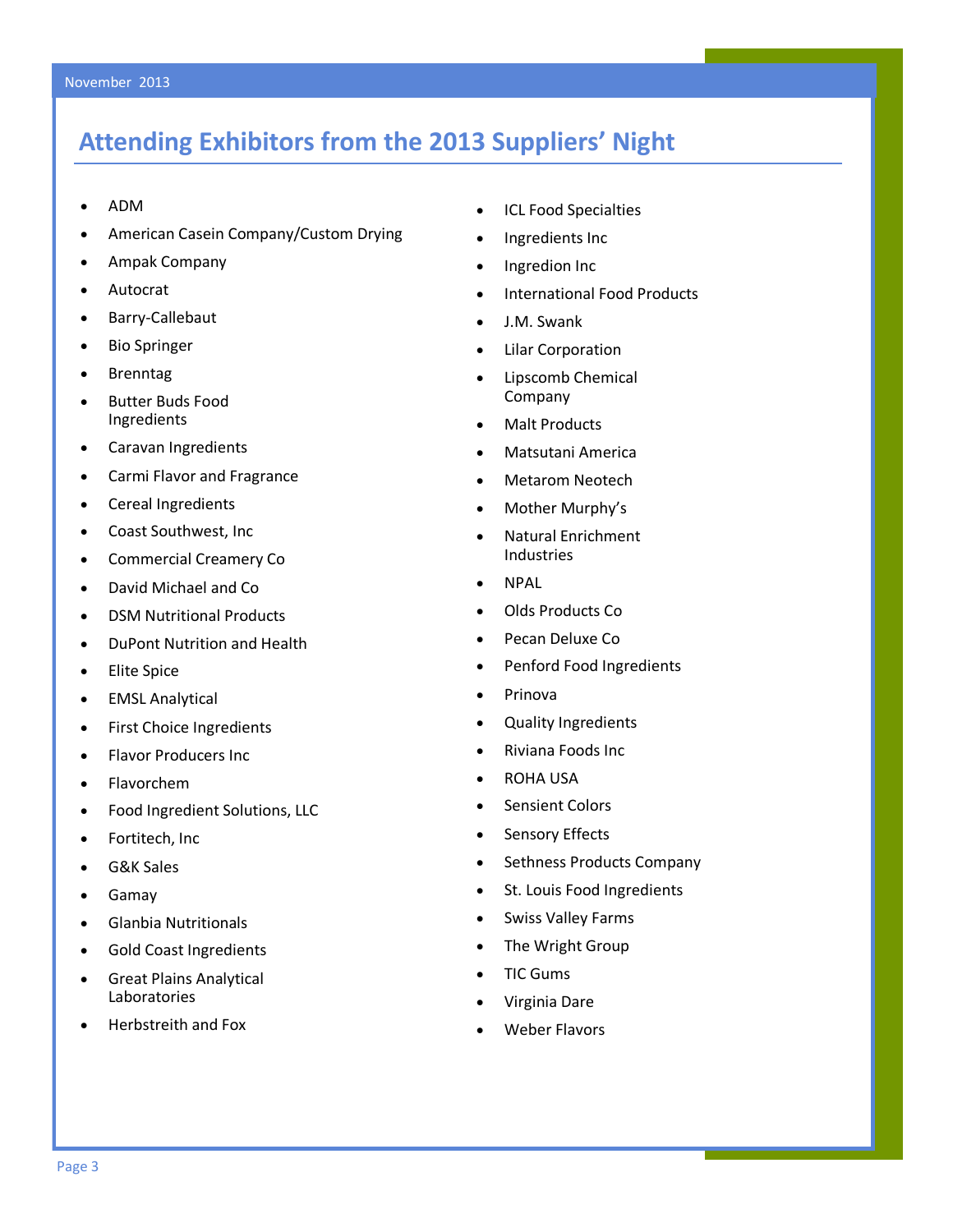### **Attending Exhibitors from the 2013 Suppliers' Night**

- ADM
- American Casein Company/Custom Drying
- Ampak Company
- Autocrat
- Barry-Callebaut
- Bio Springer
- Brenntag
- Butter Buds Food Ingredients
- Caravan Ingredients
- Carmi Flavor and Fragrance
- Cereal Ingredients
- Coast Southwest, Inc
- Commercial Creamery Co
- David Michael and Co
- DSM Nutritional Products
- DuPont Nutrition and Health
- Elite Spice
- EMSL Analytical
- First Choice Ingredients
- Flavor Producers Inc
- Flavorchem
- Food Ingredient Solutions, LLC
- Fortitech, Inc
- G&K Sales
- Gamay
- Glanbia Nutritionals
- Gold Coast Ingredients
- Great Plains Analytical Laboratories
- Herbstreith and Fox
- ICL Food Specialties
- Ingredients Inc
- Ingredion Inc
- International Food Products
- J.M. Swank
- Lilar Corporation
- Lipscomb Chemical Company
- Malt Products
- Matsutani America
- Metarom Neotech
- Mother Murphy's
- Natural Enrichment Industries
- NPAL
- Olds Products Co
- Pecan Deluxe Co
- Penford Food Ingredients
- Prinova
- Quality Ingredients
- Riviana Foods Inc
- ROHA USA
- Sensient Colors
- Sensory Effects
- Sethness Products Company
- St. Louis Food Ingredients
- Swiss Valley Farms
- The Wright Group
- TIC Gums
- Virginia Dare
- Weber Flavors